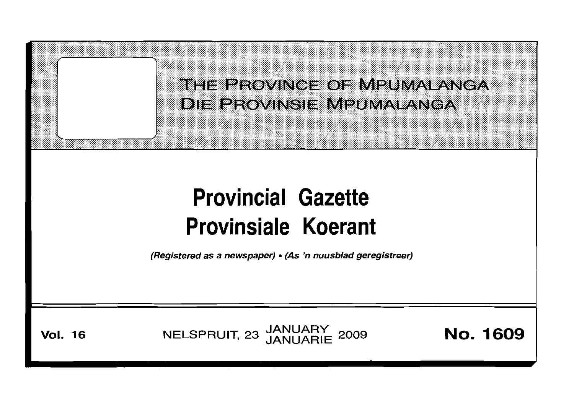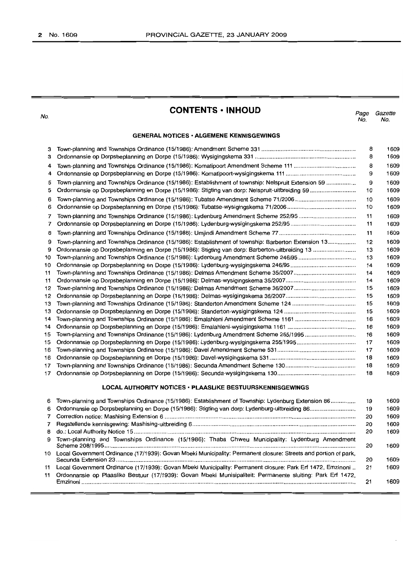No.

# **CONTENTS • INHOUD**

*Page Gazette* No. No.

> 20 1609 1609

#### **GENERAL NOTICES· ALGEMENE KENNISGEWINGS**

| з              |                                                                                                                 | 8  | 1609 |
|----------------|-----------------------------------------------------------------------------------------------------------------|----|------|
| з              |                                                                                                                 | 8  | 1609 |
| 4              |                                                                                                                 | 8  | 1609 |
| 4              |                                                                                                                 | 9  | 1609 |
| 5              | Town-planning and Townships Ordinance (15/1986): Establishment of township: Nelspruit Extension 59              | 9  | 1609 |
| 5              |                                                                                                                 | 10 | 1609 |
| 6              |                                                                                                                 | 10 | 1609 |
| 6              |                                                                                                                 | 10 | 1609 |
| 7              |                                                                                                                 | 11 | 1609 |
| 7              |                                                                                                                 | 11 | 1609 |
| 8              |                                                                                                                 | 11 | 1609 |
| 9              | Town-planning and Townships Ordinance (15/1986): Establishment of township: Barberton Extension 13              | 12 | 1609 |
| 9              |                                                                                                                 | 13 | 1609 |
| 10             |                                                                                                                 | 13 | 1609 |
| 10             |                                                                                                                 | 14 | 1609 |
| 11             |                                                                                                                 | 14 | 1609 |
| 11             |                                                                                                                 | 14 | 1609 |
| 12             |                                                                                                                 | 15 | 1609 |
| 12             |                                                                                                                 | 15 | 1609 |
| 13             |                                                                                                                 | 15 | 1609 |
| 13             |                                                                                                                 | 15 | 1609 |
| 14             |                                                                                                                 | 16 | 1609 |
| 14             |                                                                                                                 | 16 | 1609 |
| 15             | Town-planning and Townships Ordinance (15/1986): Lydenburg Amendment Scheme 255/1995                            | 16 | 1609 |
| 15             |                                                                                                                 | 17 | 1609 |
| 16             |                                                                                                                 | 17 | 1609 |
| 16             |                                                                                                                 | 18 | 1609 |
| 17             |                                                                                                                 | 18 | 1609 |
| 17             |                                                                                                                 | 18 | 1609 |
|                | <b>LOCAL AUTHORITY NOTICES · PLAASLIKE BESTUURSKENNISGEWINGS</b>                                                |    |      |
| 6              | Town-planning and Townships Ordinance (15/1986): Establishment of Township: Lydenburg Extension 86              | 19 | 1609 |
| 6              | Ordonnansie op Dorpsbeplanning en Dorpe (15/1986): Stigting van dorp: Lydenburg-uitbreiding 86                  | 19 | 1609 |
| 7              |                                                                                                                 | 20 | 1609 |
| $\overline{7}$ |                                                                                                                 | 20 | 1609 |
| 8              |                                                                                                                 | 20 | 1609 |
| 9              | Town-planning and Townships Ordinance (15/1986): Thaba Chweu Municipality: Lydenburg Amendment                  | 20 | 1609 |
| 10             | Local Government Ordinance (17/1939): Govan Mbeki Municipality: Permanent closure: Streets and portion of park, |    |      |

11 Ordonnansie op Plaaslike Bestuur (17/1939): Govan Mbeki Munisipaliteit: Permanente sluiting: Park Erf 1472, Emzinoni . 21 1609

Secunda Extension 23 . 11 Local Government Ordinance (17/1939): Govan Mbeki Municipality: Permanent closure: Park Erf 1472, Emzinoni ..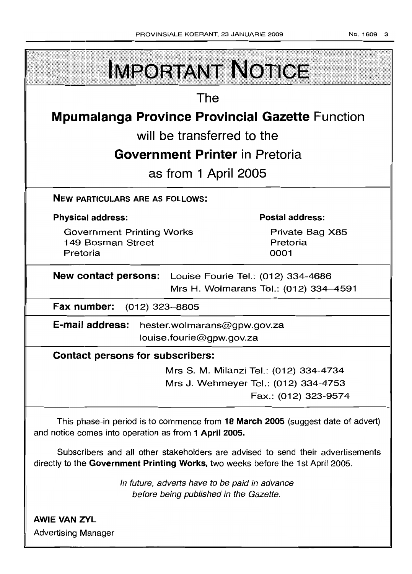| <b>IMPORTANT NOTICE</b>                                                                          |                                                                                |  |  |  |
|--------------------------------------------------------------------------------------------------|--------------------------------------------------------------------------------|--|--|--|
| The                                                                                              |                                                                                |  |  |  |
| <b>Mpumalanga Province Provincial Gazette Function</b>                                           |                                                                                |  |  |  |
| will be transferred to the                                                                       |                                                                                |  |  |  |
| <b>Government Printer</b> in Pretoria                                                            |                                                                                |  |  |  |
| as from 1 April 2005                                                                             |                                                                                |  |  |  |
| <b>NEW PARTICULARS ARE AS FOLLOWS:</b>                                                           |                                                                                |  |  |  |
| <b>Physical address:</b>                                                                         | <b>Postal address:</b>                                                         |  |  |  |
| <b>Government Printing Works</b><br>149 Bosman Street<br>Pretoria                                | Private Bag X85<br>Pretoria<br>0001                                            |  |  |  |
| New contact persons: Louise Fourie Tel.: (012) 334-4686<br>Mrs H. Wolmarans Tel.: (012) 334-4591 |                                                                                |  |  |  |
| Fax number:<br>$(012)$ 323-8805                                                                  |                                                                                |  |  |  |
| E-mail address:<br>hester.wolmarans@gpw.gov.za<br>louise.fourie@gpw.gov.za                       |                                                                                |  |  |  |
| <b>Contact persons for subscribers:</b>                                                          |                                                                                |  |  |  |
|                                                                                                  | Mrs S. M. Milanzi Tel.: (012) 334-4734<br>Mrs J. Wehmeyer Tel.: (012) 334-4753 |  |  |  |

Fax (012) 323-9574

This phase-in period is to commence from **18 March 2005** (suggest date of advert) and notice comes into operation as from **1 April 2005.**

Subscribers and all other stakeholders are advised to send their advertisements directly to the **Government Printing Works,** two weeks before the 1st April 2005

> In future, adverts have to be paid in advance before being published in the Gazette.

**AWIE VAN ZYL** Advertising Manager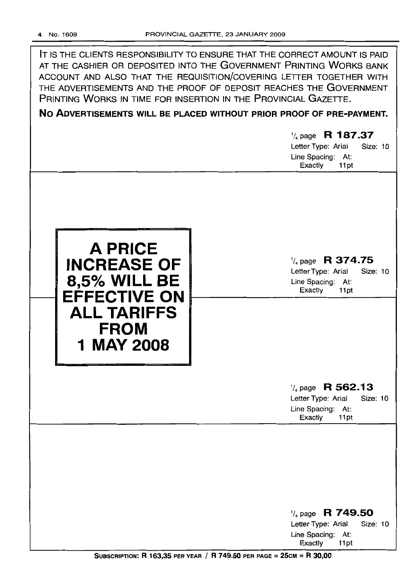|                                                                                                                                       | IT IS THE CLIENTS RESPONSIBILITY TO ENSURE THAT THE CORRECT AMOUNT IS PAID<br>AT THE CASHIER OR DEPOSITED INTO THE GOVERNMENT PRINTING WORKS BANK<br>ACCOUNT AND ALSO THAT THE REQUISITION/COVERING LETTER TOGETHER WITH<br>THE ADVERTISEMENTS AND THE PROOF OF DEPOSIT REACHES THE GOVERNMENT<br>PRINTING WORKS IN TIME FOR INSERTION IN THE PROVINCIAL GAZETTE.<br>NO ADVERTISEMENTS WILL BE PLACED WITHOUT PRIOR PROOF OF PRE-PAYMENT.<br>$\frac{1}{4}$ page R 187.37<br>Letter Type: Arial<br><b>Size: 10</b><br>Line Spacing: At:<br>Exactly<br>11pt |
|---------------------------------------------------------------------------------------------------------------------------------------|-----------------------------------------------------------------------------------------------------------------------------------------------------------------------------------------------------------------------------------------------------------------------------------------------------------------------------------------------------------------------------------------------------------------------------------------------------------------------------------------------------------------------------------------------------------|
| <b>A PRICE</b><br><b>INCREASE OF</b><br><b>8,5% WILL BE</b><br><b>EFFECTIVE ON</b><br><b>ALL TARIFFS</b><br><b>FROM</b><br>1 MAY 2008 | $\frac{1}{4}$ page R 374.75<br>Letter Type: Arial<br>Size: 10<br>Line Spacing: At:<br>Exactly<br>11pt                                                                                                                                                                                                                                                                                                                                                                                                                                                     |
|                                                                                                                                       | R 562.13<br>$\frac{1}{4}$ page<br>Letter Type: Arial<br>Size: 10<br>Line Spacing: At:<br>Exactly<br>11pt                                                                                                                                                                                                                                                                                                                                                                                                                                                  |
|                                                                                                                                       | $\frac{1}{4}$ page R 749.50<br>Letter Type: Arial<br>Size: 10<br>Line Spacing: At:<br>Exactly<br>11pt                                                                                                                                                                                                                                                                                                                                                                                                                                                     |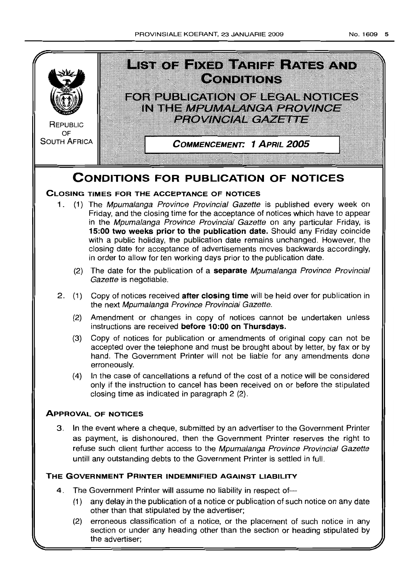

# **CONDITIONS FOR PUBLICATION OF NOTICES**

# **CLOSING TIMES FOR THE ACCEPTANCE OF NOTICES**

- 1. (1) The Mpumalanga Province Provincial Gazette is published every week on Friday, and the closing time for the acceptance of notices which have to appear in the Mpumalanga Province Provincial Gazette on any particular Friday, is **15:00 two weeks prior to the publication date.** Should any Friday coincide with a public holiday, the publication date remains unchanged. However, the closing date for acceptance of advertisements moves backwards accordingly, in order to allow for ten working days prior to the publication date.
	- (2) The date for the publication of a **separate** Mpumalanga Province Provincial Gazette is negotiable.
- 2 (1) Copy of notices received **after closing time** will be held over for publication in the next Mpumalanga Province Provincial Gazette.
	- (2) Amendment or changes in copy of notices cannot be undertaken unless instructions are received **before 10:00 on Thursdays.**
	- (3) Copy of notices for publication or amendments of original copy can not be accepted over the telephone and must be brought about by letter, by fax or by hand. The Government Printer will not be liable for any amendments done erroneously.
	- (4) In the case of cancellations a refund of the cost of a notice will be considered only if the instruction to cancel has been received on or before the stipulated closing time as indicated in paragraph 2 (2)

# **APPROVAL OF NOTICES**

3 In the event where a cheque, submitted by an advertiser to the Government Printer as payment, is dishonoured, then the Government Printer reserves the right to refuse such client further access to the Mpumalanga Province Provincial Gazette untill any outstanding debts to the Government Printer is settled in full

# **THE GOVERNMENT PRINTER INDEMNIFIED AGAINST LIABILITY**

- 4. The Government Printer will assume no liability in respect of-
	- (1) any delay in the publication of a notice or publication of such notice on any date other than that stipulated by the advertiser;
	- (2) erroneous classification of a notice, or the placement of such notice in any section or under any heading other than the section or heading stipulated by the advertiser;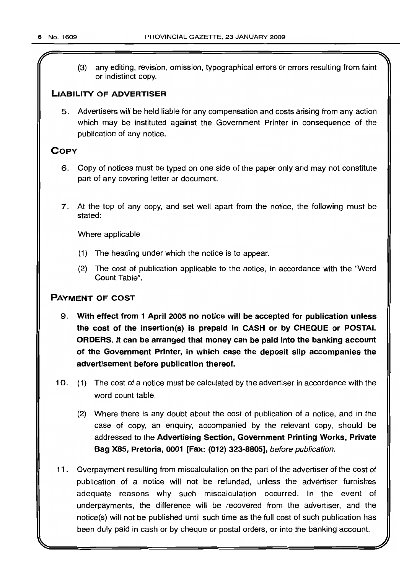*r*

(3) any editing, revision, omission, typographical errors or errors resulting from faint or indistinct copy.

# LIABILITY OF ADVERTISER

5. Advertisers will be held liable for any compensation and costs arising from any action which may be instituted against the Government Printer in consequence of the publication of any notice.

# **COPY**

- 6. Copy of notices must be typed on one side of the paper only and may not constitute part of any covering letter or document.
- 7. At the top of any copy, and set well apart from the notice, the following must be stated:

Where applicable

- (1) The heading under which the notice is to appear.
- (2) The cost of publication applicable to the notice, in accordance with the "Word Count Table".

# PAYMENT OF COST

- 9. With effect from 1 April 2005 no notice will be accepted for publication unless the cost of the insertion(s) is prepaid in CASH or by CHEQUE or POSTAL ORDERS. It can be arranged that money can be paid into the banking account of the Government Printer, in which case the deposit slip accompanies the advertisement before publication thereof.
- 10. (1) The cost of a notice must be calculated by the advertiser in accordance with the word count table.
	- (2) Where there is any doubt about the cost of publication of a notice, and in the case of copy, an enquiry, accompanied by the relevant copy, should be addressed to the Advertising Section, Government Printing Works, Private Bag X8S, Pretoria, 0001 [Fax: (012) 323-8805], before publication.
- 11. Overpayment resulting from miscalculation on the part of the advertiser of the cost of publication of a notice will not be refunded, unless the advertiser furnishes adequate reasons why such miscalculation occurred. In the event of underpayments, the difference will be recovered from the advertiser, and the notice(s) will not be published until such time as the full cost of such publication has been duly paid in cash or by cheque or postal orders, or into the banking account.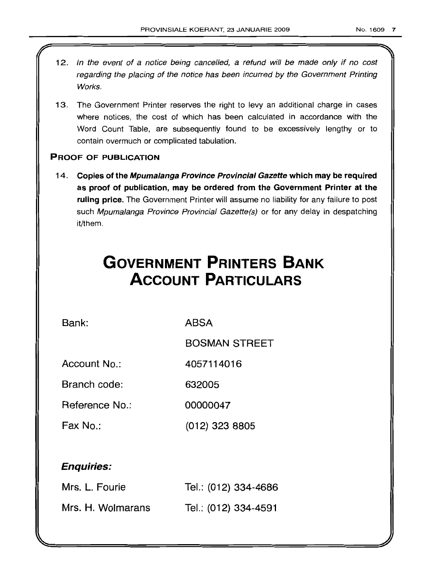- 12. In the event of a notice being cancelled, a refund will be made only if no cost regarding the placing of the notice has been incurred by the Government Printing Works.
- 13. The Government Printer reserves the right to levy an additional charge in cases where notices, the cost of which has been calculated in accordance with the Word Count Table, are subsequently found to be excessively lengthy or to contain overmuch or complicated tabulation.

# PROOF OF PUBLICATION

14. Copies of the Mpumalanga Province Provincial Gazette which may be required as proof of publication, may be ordered from the Government Printer at the ruling price. The Government Printer will assume no liability for any failure to post such Mpumalanga Province Provincial Gazette(s) or for any delay in despatching it/them.

# **GOVERNMENT PRINTERS BANK ACCOUNT PARTICULARS**

Bank: ABSA

BOSMAN STREET

Account No.: 4057114016

Branch code: 632005

Reference No.: 00000047

Fax No.: (012) 323 8805

# Enquiries:

| Mrs. L. Fourie    | Tel.: (012) 334-4686 |
|-------------------|----------------------|
| Mrs. H. Wolmarans | Tel.: (012) 334-4591 |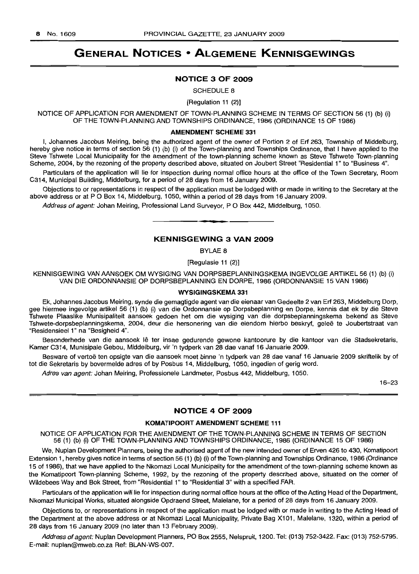# **GENERAL NOTICES • ALGEMENE KENNISGEWINGS**

#### **NOTICE 3 OF 2009**

SCHEDULE 8

[Regulation 11 (2)]

NOTICE OF APPLICATION FOR AMENDMENT OF TOWN-PLANNING SCHEME IN TERMS OF SECTION 56 (1) (b) (i) OF THE TOWN-PLANNING AND TOWNSHIPS ORDINANCE, 1986 (ORDINANCE 15 OF 1986)

#### **AMENDMENT SCHEME** 331

I, Johannes Jacobus Meiring, being the authorized agent of the owner of Portion 2 of Erf 263, Township of Middelburg, hereby give notice in terms of section 56 (1) (b) (i) of the Town-planning and Townships Ordinance, that I have applied to the Steve Tshwete Local Municipality for the amendment of the town-planning scheme known as Steve Tshwete Town-planning Scheme, 2004, by the rezoning of the property described above, situated on Joubert Street "Residential 1" to "Business 4".

Particulars of the application will lie for inspection during normal office hours at the office of the Town Secretary, Room C314, Municipal Building, Middelburg, for a period of 28 days from 16 January 2009.

Objections to or representations in respect of the application must be lodged with or made in writing to the Secretary at the above address or at P O Box 14, Middelburg, 1050, within a period of 28 days from 16 January 2009.

Address of agent: Johan Meiring, Professional Land Surveyor, P O Box 442, Middelburg, 1050.

#### **KENNISGEWING 3 VAN 2009**

**• •**

BYLAE 8

[Regulasie 11 (2)]

KENNISGEWING VAN AANSOEK OM WYSIGING VAN DORPSBEPLANNINGSKEMA INGEVOLGE ARTIKEL 56 (1) (b) (i) VAN DIE ORDONNANSIE OP DORPSBEPLANNING EN DORPE, 1986 (ORDONNANSIE 15 VAN 1986)

#### **WYSIGINGSKEMA** 331

Ek, Johannes Jacobus Meiring, synde die gemagtigde agent van die eienaar van Gedeelte 2 van Erf 263, Middelburg Dorp, gee hiermee ingevolge artikel 56 (1) (b) (i) van die Ordonnansie op Dorpsbeplanning en Dorpe, kennis dat ek by die Steve Tshwete Plaaslike Munisipaliteit aansoek gedoen het om die wysiging van die dorpsbeplanningskema bekend as Steve Tshwete-dorpsbeplanningskema, 2004, deur die hersonering van die eiendom hierbo beskryf, qelee te Joubertstraat van "Residensieel 1" na "Besigheid 4".

Besonderhede van die aansoek lê ter insae gedurende gewone kantoorure by die kantoor van die Stadsekretaris, Kamer C314, Munisipale Gebou, Middelburg, vir 'n tydperk van 28 dae vanaf 16 Januarie 2009.

Besware of vertoë ten opsigte van die aansoek moet binne 'n tydperk van 28 dae vanaf 16 Januarie 2009 skriftelik by of tot die Sekretaris by bovermelde adres of by Posbus 14, Middelburg, 1050, ingedien of gerig word.

Adres van agent: Johan Meiring, Professionele Landmeter, Posbus 442, Middelburg, 1050.

16-23

#### **NOTICE 4 OF 2009**

#### **KOMATIPOORT AMENDMENT SCHEME 111**

NOTICE OF APPLICATION FOR THE AMENDMENT OF THE TOWN-PLANNING SCHEME IN TERMS OF SECTION 56 (1) (b) (i) OF THE TOWN-PLANNING AND TOWNSHIPS ORDINANCE, 1986 (ORDINANCE 15 OF 1986)

We, Nuplan Development Planners, being the authorised agent of the new intended owner of Erven 426 to 430, Komatipoort Extension 1, hereby gives notice in terms of section 56 (1) (b) (i) of the Town-planning and Townships Ordinance, 1986 (Ordinance 15 of 1986), that we have applied to the Nkomazi Local Municipality for the amendment of the town-planning scheme known as the Komatipoort Town-planning Scheme, 1992, by the rezoning of the property described above, situated on the corner of Wildebees Way and Bok Street, from "Residential 1" to "Residential 3" with a specified FAR.

Particulars of the application will lie for inspection during normal office hours at the office of the Acting Head of the Department, Nkomazi Municipal Works, situated alongside Opdraend Street, Malelane, for a period of 28 days from 16 January 2009.

Objections to, or representations in respect of the application must be lodged with or made in writing to the Acting Head of the Department at the above address or at Nkomazi Local Municipality, Private Bag X101, Malelane, 1320, within a period of 28 days from 16 January 2009 (no later than 13 February 2009).

Address of agent: Nuplan Development Planners, PO Box 2555, Nelspruit, 1200. Tel: (013) 752-3422. Fax: (013) 752-5795. E-mail: nuplan@mweb.co.za Ref: BLAN-WS-007.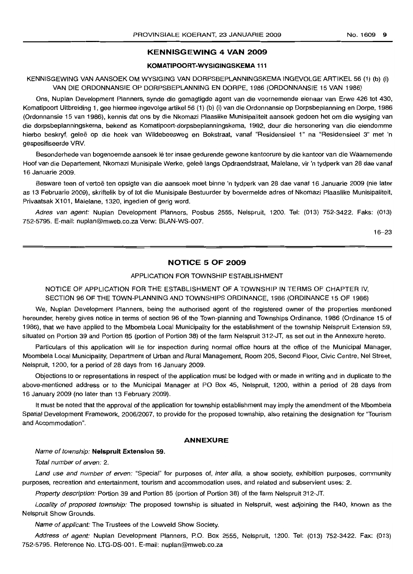#### **KENNISGEWING 4 VAN 2009**

#### **KOMATIPOORT-WYSIGINGSKEMA 111**

KENNISGEWING VAN AANSOEK OM WYSIGING VAN DORPSBEPLANNINGSKEMA INGEVOLGE ARTIKEL 56 (1) (b) (i) VAN DIE ORDONNANSIE OP DORPSBEPLANNING EN DORPE, 1986 (ORDONNANSIE 15 VAN 1986)

Ons, Nuplan Development Planners, synde die gemagtigde agent van die voornemende eienaar van Erwe 426 tot 430, Komatipoort Uitbreiding 1, gee hiermee ingevolge artikel 56 (1) (b) (i) van die Ordonnansie op Dorpsbeplanning en Dorpe, 1986 (Ordonnansie 1*ei* van 1986), kennis dat ons by die Nkomazi Plaaslike Munisipaliteit aansoek gedoen het om die wysiging van die dorpsbeplanningskema, bekend as Komatipoort-dorpsbeplanningskema, 1992, deur die hersonering van die eiendomme hierbo beskryf, geleë op die hoek van Wildebeesweg en Bokstraat, vanaf "Residensieel 1" na "Residensieel 3" met 'n gespesifiseerde VRV.

Besonderhede van bogenoemde aansoek lê ter insae gedurende gewone kantoorure by die kantoor van die Waarnemende Hoof van die Departement, Nkomazi Munisipale Werke, geleë langs Opdraendstraat, Malelane, vir 'n tydperk van 28 dae vanaf 16 Januarie 2009.

Besware teen of vertoë ten opsigte van die aansoek moet binne 'n tydperk van 28 dae vanaf 16 Januarie 2009 (nie later as 13 Februarie 2009), skriftelik by of tot die Munisipale Bestuurder by bovermelde adres of Nkomazi Plaaslike Munisipaliteit, Privaatsak X101, Malelane, 1320, ingedien of gerig word.

Adres van agent: Nuplan Development Planners, Posbus 2555, Nelspruit, 1200. Tel: (013) 752-3422. Faks: (013) 752-5795. E-mail: nuplan@mweb.co.za Verw: BLAN-WS-007.

16-23

#### **NOTICE 5 OF 2009**

#### APPLICATION FOR TOWNSHIP ESTABLISHMENT

NOTICE OF APPLICATION FOR THE ESTABLISHMENT OF A TOWNSHIP IN TERMS OF CHAPTER IV, SECTION 96 OF THE TOWN-PLANNING AND TOWNSHIPS ORDINANCE, 1986 (ORDINANCE 15 OF 1986)

We, Nuplan Development Planners, being the authorised agent of the registered owner of the properties mentioned hereunder, hereby gives notice in terms of section 96 of the Town-planning and Townships Ordinance, 1986 (Ordinance 15 of 1986), that we have applied to the Mbombela Local Municipality for the establishment of the township Nelspruit Extension 59, situated on Portion 39 and Portion 85 (portion of Portion 38) of the farm Nelspruit 312-JT, as set out in the Annexure hereto.

Particulars of this application will lie for inspection during normal office hours at the office of the Municipal Manager, Mbombela Local Municipality, Department of Urban and Rural Management, Room 205, Second Floor, Civic Centre, Nel Street, Nelspruit, 1200, for a period of 28 days from 16 January 2009.

Objections to or representations in respect of the application must be lodged with or made in writing and in duplicate to the above-mentioned address or to the Municipal Manager at PO Box 45, Nelspruit, 1200, within a period of 28 days from 16 January 2009 (no later than 13 February 2009).

It must be noted that the approval of the application for township establishment may imply the amendment of the Mbombela Spatial Development Framework, 2006/2007, to provide for the proposed township, also retaining the designation for ''Tourism and Accommodation".

#### **ANNEXURE**

#### Name of township: **Nelspruit Extension** 59.

Total number of erven: 2.

Land use and number of erven: "Special" for purposes of, inter alia, a show society, exhibition purposes, community purposes, recreation and entertainment, tourism and accommodation uses, and related and subservient uses: 2.

Property description: Portion 39 and Portion 85 (portion of Portion 38) of the farm Nelspruit 312-JT.

Locality of proposed township: The proposed township is situated in Nelspruit, west adjoining the R40, known as the Nelspruit Show Grounds.

Name of applicant: The Trustees of the Lowveld Show Society.

Address of agent: Nuplan Development Planners, P.O. Box 2555, Nelspruit, 1200. Tel: (013) 752-3422. Fax: (013) 752-5795. Reference No. LTG-DS-001. E-mail: nuplan@mweb.co.za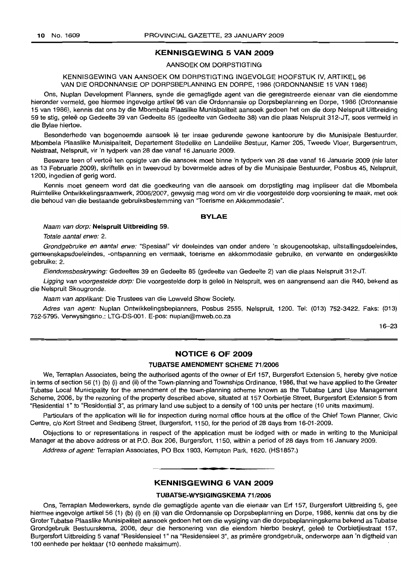#### **KENNISGEWING 5 VAN 2009**

#### AANSOEK OM DORPSTIGTING

#### KENNISGEWING VAN AANSOEK OM DORPSTIGTING INGEVOLGE HOOFSTUK IV, ARTIKEL 96 VAN DIE ORDONNANSIE OP DORPSBEPLANNING EN DORPE, 1986 (ORDONNANSIE 15 VAN 1986)

Ons, Nuplan Development Planners, synde die gemagtigde agent van die geregistreerde eienaar van die eiendomme hieronder vermeld, gee hiermee ingevolge artikel 96 van die Ordonnansie op Dorpsbeplanning en Dorpe, 1986 (Ordonnansie 15 van 1986), kennis dat ons by die Mbombela Plaaslike Munisipaliteit aansoek gedoen het om die dorp Nelspruit Uitbreiding 59 te stig, qelee op Gedeelte 39 van Gedeelte 85 (gedeelte van Gedeelte 38) van die plaas Nelspruit 312-JT, soos vermeld in die Bylae hiertoe.

Besonderhede van bogenoemde aansoek lê ter insae gedurende gewone kantoorure by die Munisipale Bestuurder, Mbombela Plaaslike Munisipaliteit, Departement Stedelike en Landelike Bestuur, Kamer 205, Tweede Vloer, Burgersentrum, Nelstraat, Nelspruit, vir 'n tydperk van 28 dae vanaf 16 Januarie 2009.

Besware teen of vertoë ten opsigte van die aansoek moet binne 'n tydperk van 28 dae vanaf 16 Januarie 2009 (nie later as 13 Februarie 2009), skriftelik en in tweevoud by bovermelde adres of by die Munisipale Bestuurder, Posbus 45, Nelspruit, 1200, ingedien of gerig word.

Kennis moet geneem word dat die goedkeuring van die aansoek om dorpstigting mag impliseer dat die Mbombela Ruimtelike Ontwikkelingsraamwerk, 2006/2007, gewysig mag word om vir die voorgestelde dorp voorsiening te maak, met ook die behoud van die bestaande gebruiksbestemming van "Toerisme en Akkommodasie".

#### **BYLAE**

#### Naam van dorp: **Nelspruit Uitbreiding** 59.

Totale aantal erwe: 2.

Grondgebruike en aantal erwe: "Spesiaal" vir doeleindes van onder andere 'n skougenootskap, uitstallingsdoeleindes, gemeenskapsdoeleindes, -ontspanning en vermaak, toerisme en akkommodasie gebruike, en verwante en ondergeskikte gebruike: 2.

Eiendomsbeskrywing: Gedeeltes 39 en Gedeelte 85 (gedeelte van Gedeelte 2) van die plaas Nelspruit 312-JT.

Ligging van voorgestelde dorp: Die voorgestelde dorp is geleë in Nelspruit, wes en aangrensend aan die R40, bekend as die Nelspruit Skougronde.

Naam van applikant: Die Trustees van die Lowveld Show Society.

Adres van agent: Nuplan Ontwikkelingsbeplanners, Posbus 2555, Nelspruit, 1200. Tel: (013) 752-3422. Faks: (013) 752-5795. Verwysingsno.: LTG-DS-001. E-pos: nuplan@mweb.co.za

16-23

#### **NOTICE 6 OF 2009**

#### **TUBATSE AMENDMENT SCHEME** 71/2006

We, Terraplan Associates, being the authorised agents of the owner of Erf 157, Burgersfort Extension 5, hereby give notice in terms of section 56 (1) (b) (i) and (ii) of the Town-planning and Townships Ordinance, 1986, that we have applied to the Greater Tubatse Local Municipality for the amendment of the town-planning scheme known as the Tubatse Land Use Management Scheme, 2006, by the rezoning of the property described above, situated at 157 Oorbietjie Street, Burgersfort Extension 5 from "Residential 1" to "Residential 3", as primary land use subject to a density of 100 units per hectare (10 units maximum).

Particulars of the application will lie for inspection during normal office hours at the office of the Chief Town Planner, Civic Centre, c/o Kort Street and Sedibeng Street, Burgersfort, 1150, for the period of 28 days from 16-01-2009.

Objections to or representations in respect of the application must be lodged with or made in writing to the Municipal Manager at the above address or at P.O. Box 206, Burgersfort, 1150, within a period of 28 days from 16 January 2009.

Address of agent: Terraplan Associates, PO Box 1903, Kempton Park, 1620. (HS1857.)

#### **KENNISGEWING 6 VAN 2009**

.**-.**

#### **TUBATSE-WYSIGINGSKEMA 71/2006**

Ons, Terraplan Medewerkers, synde die gemagtigde agente van die eienaar van Erf 157, Burgersfort Uitbreiding 5, gee hiermee ingevolge artikel 56 (1) (b) (i) en (ii) van die Ordonnansie op Dorpsbeplanning en Dorpe, 1986, kennis dat ons by die Groter Tubatse Plaaslike Munisipaliteit aansoek gedoen het om die wysiging van die dorpsbeplanningskema bekend as Tubatse Grondgebruik Bestuurskema, 2006, deur die hersonering van die eiendom hierbo beskryf, gelee te Oorbietjiestraat 157, Burgersfort Uitbreiding 5 vanaf "Residensieel 1" na "Residensieel 3", as primere grondgebruik, onderworpe aan 'n digtheid van 100 eenhede per hektaar (10 eenhede maksimum).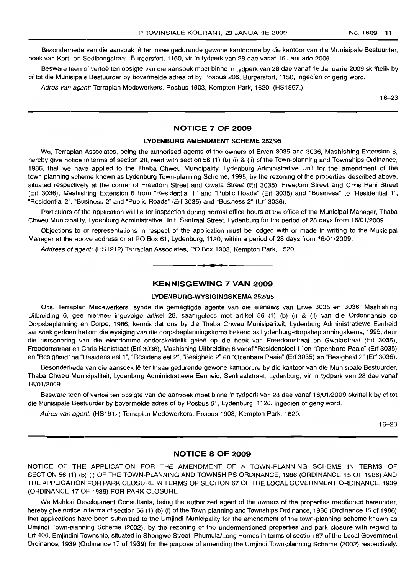Besonderhede van die aansoek lê ter insae gedurende gewone kantoorure by die kantoor van die Munisipale Bestuurder, hoek van Kort- en Sedibengstraat, Burgersfort, 1150, vir 'n tydperk van 28 dae vanaf 16 Januarie 2009.

Besware teen of vertoë ten opsigte van die aansoek moet binne 'n tydperk van 28 dae vanaf 16 Januarie 2009 skriftelik by of tot die Munisipale Bestuurder by bovermelde adres of by Posbus 206, Burgersfort, 1150, ingedien of gerig word.

Adres van agent: Terraplan Medewerkers, Posbus 1903, Kempton Park, 1620. (HS1857.)

16-23

#### **NOTICE 7 OF 2009**

#### **LYDENBURG AMENDMENT SCHEME** 252/95

We, Terraplan Associates, being the authorised agents of the owners of Erven 3035 and 3036, Mashishing Extension 6, hereby give notice in terms of section 28, read with section 56 (1) (b) (i) & (ii) of the Town-planning and Townships Ordinance, 1986, that we have applied to the Thaba Chweu Municipality, Lydenburg Administrative Unit for the amendment of the town-planning scheme known as Lydenburg Town-planning Scheme, 1995, by the rezoning of the properties described above, situated respectively at the corner of Freedom Street and Gwala Street (Erf 3035), Freedom Street and Chris Hani Street (Erf 3036), Mashishing Extension 6 from "Residential 1" and "Public Roads" (Erf 3035) and "Business" to "Residential 1", "Residential 2", "Business 2" and "Public Roads" (Erf 3035) and "Business 2" (Erf 3036).

Particulars of the application will lie for inspection during normal office hours at the office of the Municipal Manager, Thaba Chweu Municipality, Lydenburg Administrative Unit, Sentraal Street, Lydenburg for the period of 28 days from 16/01/2009.

Objections to or representations in respect of the application must be lodged with or made in writing to the Municipal Manager at the above address or at PO Box 61, Lydenburg, 1120, within a period of 28 days from 16/01/2009.

Address of agent: (HS1912) Terraplan Associates, PO Box 1903, Kempton Park, 1520.

#### **KENNISGEWING 7 VAN 2009**

**• •**

#### **LYDENBURG-WYSIGINGSKEMA** 252/95

Ons, Terraplan Medewerkers, synde die gemagtigde agente van die eienaars van Erwe 3035 en 3036, Mashishing Uitbreiding 6, gee hiermee ingevolge artikel 28, saamgelees met artikel 56 (1) (b) (i) & (ii) van die Ordonnansie op Dorpsbeplanning en Dorpe, 1986, kennis dat ons by die Thaba Chweu Munisipaliteit, Lydenburg Administratiewe Eenheid aansoek gedoen het om die wysiging van die dorpsbeplanningskema bekend as Lydenburg-dorpsbeplanningskema, 1995, deur die hersonering van die eiendomme onderskeidelik geleë op die hoek van Freedomstraat en Gwalastraat (Erf 3035), Freedomstraat en Chris Hanistraat (Erf 3036), Mashishing Uitbreiding 6 vanaf "ResidensieeI1" en "Openbare Paaie" (Erf 3035) en "Besigheid" na "Residensieel 1", "Residensieel 2", "Besigheid 2" en "Openbare Paaie" (Erf 3035) en "Besigheid 2" (Erf 3036).

Besonderhede van die aansoek lê ter insae gedurende gewone kantoorure by die kantoor van die Munisipale Bestuurder, Thaba Chweu Munisipaliteit, Lydenburg Administratiewe Eenheid, Sentraalstraat, Lydenburg, vir 'n tydperk van 28 dae vanaf 16/01/2009.

Besware teen of vertoë ten opsigte van die aansoek moet binne 'n tydperk van 28 dae vanaf 16/01/2009 skriftelik by of tot die Munisipale Bestuurder by bovermelde adres of by Posbus 61, Lydenburg, 1120, ingedien of gerig word.

Adres van agent: (HS1912) Terraplan Medewerkers, Posbus 1903, Kempton Park, 1620.

16-23

#### **NOTICE 8 OF 2009**

NOTICE OF THE APPLICATION FOR THE AMENDMENT OF A TOWN-PLANNING SCHEME IN TERMS OF SECTION 56 (1) (b) (i) OF THE TOWN-PLANNING AND TOWNSHIPS ORDINANCE, 1986 (ORDINANCE 15 OF 1986) AND THE APPLICATION FOR PARK CLOSURE IN TERMS OF SECTION 67 OF THE LOCAL GOVERNMENT ORDINANCE, 1939 (ORDINANCE 17 OF 1939) FOR PARK CLOSURE

We Mahlori Development Consultants, being the authorized agent of the owners of the properties mentioned hereunder, hereby give notice in terms of section 56 (1) (b) (i) of the Town-planning and Townships Ordinance, 1986 (Ordinance 15 of 1986) that applications have been submitted to the Umjindi Municipality for the amendment of the town-planning scheme known as Umjindi Town-planning Scheme (2002), by the rezoning of the undermentioned properties and park closure with regard to Erf 406, Emjindini Township, situated in Shongwe Street, Phumula/Long Homes in terms of section 67 of the Local Government Ordinance, 1939 (Ordinance 17 of 1939) for the purpose of amending the Umjindi Town-planning Scheme (2002) respectively.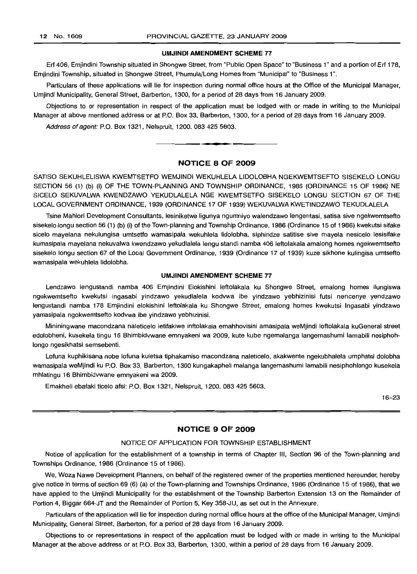#### **UMJINDI AMENDMENT SCHEME** 77

Erf 406, Emjindini Township situated in Shongwe Street, from "Public Open Space" to "Business 1" and a portion of Erf 178, Emjindini Township, situated in Shongwe Street, Phumula/Long Homes from "Municipal" to "Business 1".

Particulars of these applications will lie for inspection during normal office hours at the Office of the Municipal Manager, Umjindi Municipality, General Street, Barberton, 1300, for a period of 28 days from 16 January 2009.

Objections to or representation in respect of the application must be lodged with or made in writing to the Municipal Manager at above mentioned address or at P.O. Box 33, Barberton, 1300, for a period of 28 days from 16 January 2009.

Address of agent: P.O. Box 1321, Nelspruit, 1200. 083 425 5603. **\_.**

#### **NOTICE 8 OF 2009**

SATISO SEKUHLELISWA KWEMTSETFO WEMJINDI WEKUHLELA L1DOLOBHA NGEKWEMTSEFTO SISEKELO LONGU SECTION 56 (1) (b) (i) OF THE TOWN-PLANNING AND TOWNSHIP ORDINANCE, 1986 (ORDINANCE 15 OF 1986) NE SICELO SEKUVALWA KWENDZAWO YEKUDLALELA NGE KWEMTSETFO SISEKELO LONGU SECTION 67 OF THE LOCAL GOVERNMENT ORDINANCE, 1939 (ORDINANCE 17 OF 1939) WEKUVALWA KWETINDZAWO TEKUDLALELA

Tsine Mahlori Development Consultants, lesiniketwe ligunya ngumniyo walendzawo lengentasi, satisa sive ngekwemtsefto sisekelo longu section 56 (1) (b) (i) of the Town-planning and Township Ordinance, 1986 (Ordinance 15 of 1986) kwekutsi sifake sicelo mayelana nekulungisa umtsetfo wamasipala wekuhlela lidolobha, siphindze satitise sive mayela nesicelo lesisifake kumasipala mayelana nekuvalwa kwendzawo yekudlalela lengu standi namba 406 leftolakala amalong homes ngekwemtsefto sisekelo longu section 67 of the Local Government Ordinance, 1939 (Ordinance 17 of 1939) kuze sikhone kulingisa umtsefto wamasipala wekuhlela lidolobha.

#### **UMJINDI AMENDMENT SCHEME 77**

Lendzawo lengustandi namba 406 Emjindini Elokishini leftolakala ku Shongwe Street, emalong homes ilungiswa ngekwemtsefto kwekutsi ingasabi yindzawo yekudlalela kodvwa ibe yindzawo yebhizinisi futsi nencenye yendzawo lengustandi namba 178 Emjindini elokishini leftolakala ku Shongwe Street, emalong homes kwekutsi Ingasabi yindzawo yamasipala ngokwemtsefto kodvwa ibe yindzawo yebhizinisi.

Mininingwane macondzana naleticelo ietifakiwe inftolakala emahhovisini amasipala weMjindi loftolakala kuGeneral street edolobheni, kusekela tingu 16 Bhimbidvwane emnyakeni wa 2009, kute kube ngemalanga langemashumi lamabili nesiphohlongo ngesikhatsi semsebenti.

Lofuna kuphikisana nobe lofuna kuletsa tiphakamiso macondzana naleticelo, akakwente ngekubhalela umphatsi dolobha wamasipala weMjindi ku P.O. Box 33, Barberton, 1300 kungakapheli malanga langemashumi lamabili nesiphohlongo kusekela mhlatingu 16 Bhimbidvwane emnyakeni wa 2009.

Emakheli ebafaki ticelo afsi: P.O. Box 1321, Nelspruit, 1200. 083 425 5603.

16-23

#### **NOTICE 9 OF 2009**

#### NOTICE OF APPLICATION FOR TOWNSHIP ESTABLISHMENT

Notice of application for the establishment of a township in terms of Chapter III, Section 96 of the Town-planning and Townships Ordinance, 1986 (Ordinance 15 of 1986).

We, Woza Nawe Development Planners, on behalf of the registered owner of the properties mentioned hereunder, hereby give notice in terms of section 69 (6) (a) of the Town-planning and Townships Ordinance, 1986 (Ordinance 15 of 1986), that we have applied to the Umjindi Municipality for the establishment of the Township Barberton Extension 13 on the Remainder of Portion 4, Biggar 664-JT and the Remainder of Portion 5, Key 358-JU, as set out in the Annexure.

Particulars of the application will lie for inspection during normal office hours at the office of the Municipal Manager, Umjindi Municipality, General Street, Barberton, for a period of 28 days from 16 January 2009.

Objections to or representations in respect of the application must be lodged with or made in writing to the Municipal Manager at the above address or at P.O. Box 33, Barberton, 1300, within a period of 28 days from 16 January 2009.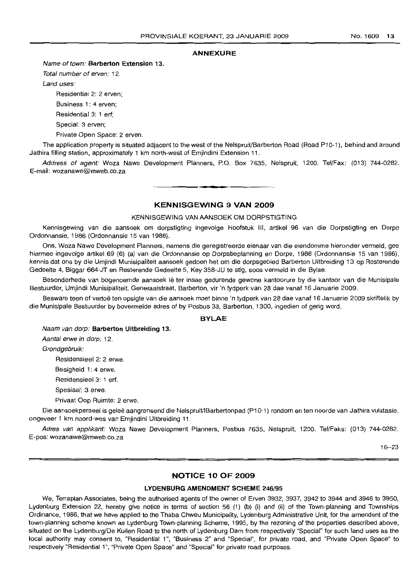#### **ANNEXURE**

#### Name of town: **Barberton Extension** 13.

Total number of erven: 12.

Land uses:

Residential 2: 2 erven;

Business 1: 4 erven; Residential 3: 1 erf;

Special: 3 erven;

Private Open Space: 2 erven.

The application property is situated adjacent to the west of the Nelspruit/Barberton Road (Road P10-1), behind and around Jathira filling station, approximately 1 km north-west of Emjindini Extension 11.

Address of agent: Woza Nawe Development Planners, P.O. Box 7635, Nelspruit, 1200. Tel/Fax: (013) 744-0282. E-mail: wozanawe@rnweb.co.za **. -**

#### **KENNISGEWING 9 VAN 2009**

#### KENNISGEWING VAN AANSOEK OM DORPSTIGTING

Kennisgewing van die aansoek om dorpstigting ingevolge Hoofstuk III, artikel 96 van die Dorpstigting en Dorpe Ordonnansie, 1986 (Ordonnansie 15 van 1986).

Ons, Woza Nawe Development Planners, namens die geregistreerde eienaar van die eiendomme hieronder vermeld, gee hiermee ingevolge artikel 69 (6) (a) van die Ordonnansie op Dorpsbeplanning en Dorpe, 1986 (Ordonnansie 15 van 1986), kennis dat ons by die Umjindi Munisipaliteit aansoek gedoen het om die dorpsgebied Barberton Uitbreiding 13 op Resterende Gedeelte 4, Biggar 664-JT en Resterende Gedeelte 5, Key 358-JU te stig, soos vermeld in die Bylae.

Besonderhede van bogenoemde aansoek lê ter insae gedurende gewone kantoorure by die kantoor van die Munisipale Bestuurder, Umjindi Munisipaliteit, Generaalstraat, Barberton, vir 'n tydperk van 28 dae vanaf 16 Januarie 2009.

Besware teen of vertoë ten opsigte van die aansoek moet binne 'n tydperk van 28 dae vanaf 16 Januarie 2009 skriftelik by die Munisipale Bestuurder by bovermelde adres of by Posbus 33, Barberton, 1300, ingedien of gerig word.

#### **BYLAE**

Naam van dorp: **Barberton Uitbreiding** 13.

Aantal erwe in dorp: 12.

Grondgebruik:

Residensieel 2: 2 erwe.

Besigheid 1: 4 erwe.

Residensieel 3: 1 erf.

Spesiaal: 3 erwe.

Privaat Oop Ruimte: 2 erwe.

Die aansoekperseel is geleë aangrensend die Nelspruit/IBarbertonpad (P10-1) rondom en ten noorde van Jathira vulstasie, ongeveer 1 km noord-wes van Emjindini Uitbreiding 11.

Adres van applikant: Woza Nawe Development Planners, Posbus 7635, Nelspruit, 1200. Tel/Faks: (013) 744-0282. E-pos: wozanawe@mweb.co.za

16-23

#### **NOTICE 10 OF 2009**

#### LYDEN BURG **AMENDMENT SCHEME** 246/95

We, Terraplan Associates, being the authorised agents of the owner of Erven 3932, 3937, 3942 to 3944 and 3946 to 3950, Lydenburg Extension 22, hereby give notice in terms of section 56 (1) (b) (i) and (ii) of the Town-planning and Townships Ordinance, 1986, that we have applied to the Thaba Chweu Municipality, Lydenburg Administrative Unit, for the amendent of the town-planning scheme known as Lydenburg Town-planning Scheme, 1995, by the rezoning of the properties described above, situated on the Lydenburg/De Kuilen Road to the north of Lydenburg Dam from respectively "Special" for such land uses as the local authority may consent to, "Residential 1", "Business 2" and "Special", for private road, and "Private Open Space" to respectively "Residential 1", "Private Open Space" and "Special" for private road purposes.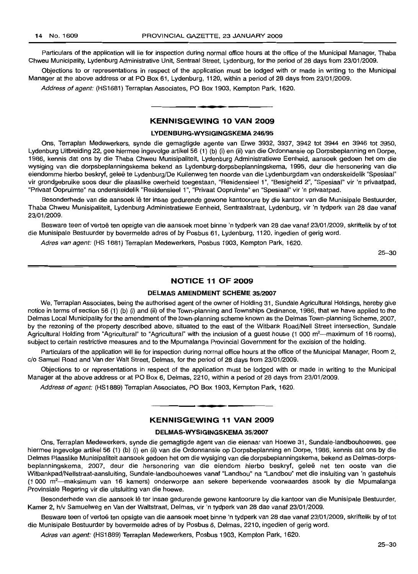Particulars of the application will lie for inspection during normal office hours at the office of the Municipal Manager, Thaba Chweu Municipality, Lydenburg Administrative Unit, Sentraal Street, Lydenburg, for the period of 28 days from 23/01/2009.

Objections to or representations in respect of the application must be lodged with or made in writing to the Municipal Manager at the above address or at PO Box 61, Lydenburg, 1120, within a period of 28 days from 23/01/2009.

Address of agent: (HS1681) Terraplan Associates, PO Box 1903, Kempton Park, 1620.

#### **KENNISGEWING 10 VAN 2009**

**.-**

#### **LYDENBURG·WYSIGINGSKEMA** 246/95

Ons, Terraplan Medewerkers, synde die gemagtigde agente van Erwe 3932, 3937, 3942 tot 3944 en 3946 tot 3950, Lydenburg Uitbreiding 22, gee hiermee ingevolge artikel 56 (1) (b) (i) en (ii) van die Ordonnansie op Dorpsbeplanning en Dorpe, 1986, kennis dat ons by die Thaba Chweu Munisipaliteit, Lydenburg Administratiewe Eenheid, aansoek gedoen het om die wysiging van die dorpsbeplanningskema bekend as Lydenburg-dorpsbeplanningskema, 1995, deur die hersonering van die eiendomme hierbo beskryf, geleë te Lydenburg/De Kuilenweg ten noorde van die Lydenburgdam van onderskeidelik "Spesiaal" vir grondgebruike soos deur die plaaslike owerheid toegestaan, "Residensieel 1", "Besigheid 2", "Spesiaal" vir 'n privaatpad, "Privaat Oopruimte" na onderskeidelik "Residensieel 1", "Privaat Oopruimte" en "Spesiaal" vir 'n privaatpad.

Besonderhede van die aansoek lê ter insae gedurende gewone kantoorure by die kantoor van die Munisipale Bestuurder, Thaba Chweu Munisipaliteit, Lydenburg Administratiewe Eenheid, Sentraalstraat, Lydenburg, vir 'n tydperk van 28 dae vanaf 23/01/2009.

Besware teen of vertoë ten opsigte van die aansoek moet binne 'n tydperk van 28 dae vanaf 23/01/2009, skriftelik by of tot die Munisipale Bestuurder by bovermelde adres of by Posbus 61, Lydenburg, 1120, ingedien of gerig word.

Adres van agent: (HS 1681) Terraplan Medewerkers, Posbus 1903, Kempton Park, 1620.

25-30

#### **NOTICE 11 OF 2009**

#### **DELMAS AMENDMENT SCHEME** 35/2007

We, Terraplan Associates, being the authorised agent of the owner of Holding 31, Sundale Agricultural Holdings, hereby give notice in terms of section 56 (1) (b) (i) and (ii) of the Town-planning and Townships Ordinance, 1986, that we have applied to the Delmas Local Municipality for the amendment of the town-planning scheme known as the Delmas Town-planning Scheme, 2007, by the rezoning of the property described above, situated to the east of the Witbank Road/Nell Street intersection, Sundale Agricultural Holding from "Agricultural" to "Agricultural" with the inclusion of a guest house (1 000 m<sup>2</sup>---maximum of 16 rooms), subject to certain restrictive measures and to the Mpumalanga Provincial Government for the excision of the holding.

Particulars of the application will lie for inspection during normal office hours at the office of the Municipal Manager, Room 2, c/o Samuel Road and Van der Walt Street, Delmas, for the period of 28 days from 23/01/2009.

Objections to or representations in respect of the application must be lodged with or made in writing to the Municipal Manager at the above address or at PO Box 6, Delmas, 2210, within a period of 28 days from 23/01/2009.

Address of agent: (HS1889) Terraplan Associates, PO Box 1903, Kempton Park, 1620.

#### **KENNISGEWING 11 VAN 2009**

E **\_ •**

#### **DELMAS-WYSIGINGSKEMA** 35/2007

Ons, Terraplan Medewerkers, synde die gemagtigde agent van die eienaar van Hoewe 31, Sundale-Iandbouhoewes, gee hiermee ingevolge artikel 56 (1) (b) (i) en (ii) van die Ordonnansie op Dorpsbeplanning en Dorpe, 1986, kennis dat ons by die Delmas Plaaslike Munisipaliteit aansoek gedoen het om die wysiging van die dorpsbeplanningskema, bekend as Delmas-dorpsbeplanningskema, 2007, deur die hersonering van die eiendom hierbo beskryf, gelee net ten ooste van die Witbankpad/Nellstraat-aansluiting, Sundale-Iandbouhoewes vanaf "Landbou" na "Landbou" met die insluiting van 'n gastehuis (1 000 m2-maksimum van 16 kamers) onderworpe aan sekere beperkende voorwaardes asook by die Mpumalanga Provinsiale Regering vir die uitsluiting van die hoewe.

Besonderhede van die aansoek lê ter insae gedurende gewone kantoorure by die kantoor van die Munisipale Bestuurder, Kamer 2, h/v Samuelweg en Van der Waltstraat, Delmas, vir 'n tydperk van 28 dae vanaf 23/01/2009.

Besware teen of vertoë ten opsigte van die aansoek moet binne 'n tydperk van 28 dae vanaf 23/01/2009, skriftelik by of tot die Munisipale Bestuurder by bovermelde adres of by Posbus 6, Delmas, 2210, ingedien of gerig word.

Adres van agent: (HS1889) Terraplan Medewerkers, Posbus 1903, Kempton Park, 1620.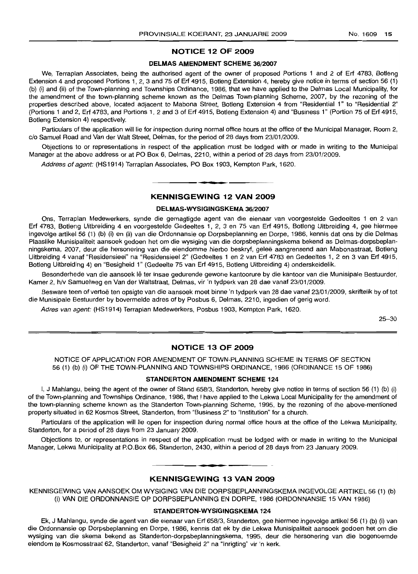### **NOTICE 12 OF 2009**

#### **DELMAS AMENDMENT SCHEME** 36/2007

We, Terraplan Associates, being the authorised agent of the owner of proposed Portions 1 and 2 of Erf 4783, Botleng Extension 4 and proposed Portions 1, 2, 3 and 75 of Erf 4915, Botleng Extension 4, hereby give notice in terms of section 56 (1) (b) (i) and (ii) of the Town-planning and Townships Ordinance, 1986, that we have applied to the Delmas Local Municipality, for the amendment of the town-planning scheme known as the Delmas Town-planning Scheme, 2007, by the rezoning of the properties described above, located adjacent to Mabona Street, Botieng Extension 4 from "Residential 1" to "Residential 2" (Portions 1 and 2, Erf 4783, and Portions 1, 2 and 3 of Erf 4915, Botleng Extension 4) and "Business 1" (Portion 75 of Erf 4915, Botleng Extension 4) respectively.

Particulars of the application will lie for inspection during normal office hours at the office of the Municipal Manager, Room 2, *c/o* Samuel Road and Van der Walt Street, Delmas, for the period of 28 days from 23/01/2009.

Objections to or representations in respect of the application must be lodged with or made in writing to the Municipal Manager at the above address or at PO Box 6, Delmas, 2210, within a period of 28 days from 23/01/2009.

Address of agent: (HS1914) Terraplan Associates, PO Box 1903, Kempton Park, 1620.

#### **KENNISGEWING 12 VAN 2009**

**I •**

#### **DELMAS·WYSIGINGSKEMA** 36/2007

Ons, Terraplan Medewerkers, synde die gemagtigde agent van die eienaar van voorgestelde Gedeeltes 1 en 2 van Erf 4783, Botieng Uitbreiding 4 en voorgestelde Gedeeltes 1, 2, 3 en 75 van Erf 4915, Botleng Uitbreiding 4, gee hiermee ingevolge artikel 56 (1) (b) (i) en (ii) van die Ordonnansie op Dorpsbeplanning en Dorpe, 1986, kennis dat ons by die Delmas Plaaslike Munisipaliteit aansoek gedoen het om die wysiging van die dorpsbeplanningskema bekend as Delmas-dorpsbeplanningskema, 2007, deur die hersonering van die eiendomme hierbo beskryf, geleë aangrensend aan Mabonastraat, Botleng Uitbreiding 4 vanaf "Flesidensieel" na "Residensieel 2" (Gedeeltes 1 en 2 van Erf 4783 en Gedeeltes 1, 2 en 3 van Erf 4915, Botieng Uitbreiding 4) en "Besigheid 1" (Gedeelte 75 van Erf 4915, Botleng Uitbreiding 4) onderskeidelik.

Besonderhede van die aansoek lê ter insae gedurende gewone kantoorure by die kantoor van die Munisipale Bestuurder, Kamer 2, h/v Samuelweg en Van der Waltstraat, Delmas, vir 'n tydperk van 28 dae vanaf 23/01/2009.

Besware teen of vertoë ten opsigte van die aansoek moet binne 'n tydperk van 28 dae vanaf 23/01/2009, skriftelik by of tot die Munisipale Bestuurder by bovermelde adres of by Posbus 6, Delmas, 2210, ingedien of gerig word.

Adres van agent: (HS1914) Terraplan Medewerkers, Posbus 1903, Kempton Park, 1620.

25-30

#### **NOTICE 13 OF 2009**

NOTICE OF APPLICATION FOR AMENDMENT OF TOWN-PLANNING SCHEME IN TERMS OF SECTION 56 (1) (b) (i) OF THE TOWN-PLANNING AND TOWNSHIPS ORDINANCE, 1986 (ORDINANCE 15 OF 1986)

#### **STANDERTON AMENDMENT SCHEME** 124

I, J Mahlan9u, being the agent of the owner of Stand 658/3, Standerton, hereby give notice in terms of section 56 (1) (b) (i) of the Town-planning and Townships Ordinance, 1986, that I have applied to the Lekwa Local Municipality for the amendment of the town-planning scheme known as the Standerton Town-planning Scheme, 1995, by the rezoning of the above-mentioned property situated in 62 Kosmos Street, Standerton, from "Business 2" to "Institution" for a church.

Particulars of the application will lie open for inspection during normal office hours at the office of the Lekwa Municipality, Standerton, for a period of 28 days from 23 January 2009.

Objections to, or representations in respect of the application must be lodged with or made in writing to the Municipal Manager, Lekwa Municipality at P.O.Box 66, Standerton, 2430, within a period of 28 days from 23 January 2009.

#### **KENNISGEWING 13 VAN 2009**

.**- .**

KENNISGEWING VAN AANSOEK OM WYSIGING VAN DIE DORPSBEPLANNINGSKEMA INGEVOLGE ARTIKEL 56 (1) (b) (i) VAN DIE ORDONNANSIE OP DORPSBEPLANNING EN DORPE, 1986 (ORDONNANSIE 15 VAN 1986)

#### **STANDERTON·WYSIGINGSKEMA** 124

Ek, J Mahlangu, synde die agent van die eienaar van Erf 658/3, Standerton, gee hiermee ingevolge artikel 56 (1) (b) (i) van die Ordonnansie op Dorpsbeplanning en Dorpe, 1986, kennis dat ek by die Lekwa Munisipaliteit aansoek gedoen het om die wysiging van die skerna bekend as Standerton-dorpsbeplanningskema, 1995, deur die hersonering van die bogenoemde eiendom te Kosmosstraat 62, Standerton, vanaf "Besigheid 2" na "Inrigting" vir 'n kerk.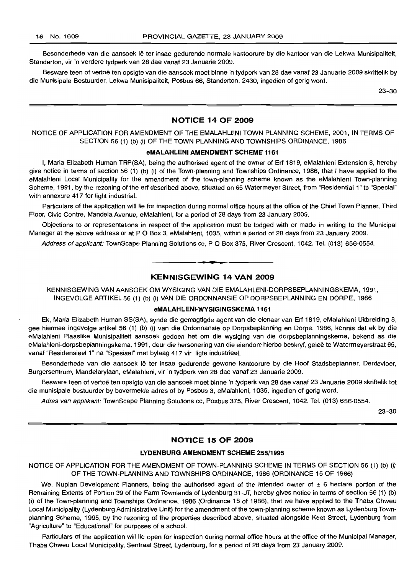Besonderhede van die aansoek lê ter insae gedurende normale kantoorure by die kantoor van die Lekwa Munisipaliteit. Standerton, vir 'n verdere tydperk van 28 dae vanaf 23 Januarie 2009.

Besware teen of vertoë ten opsigte van die aansoek moet binne 'n tydperk van 28 dae vanaf 23 Januarie 2009 skriftelik by die Munisipale Bestuurder, Lekwa Munisipaliteit, Posbus 66, Standerton, 2430, ingedien of gerig word.

23-30

#### NOTICE 14 OF 2009

NOTICE OF APPLICATION FOR AMENDMENT OF THE EMALAHLENI TOWN PLANNING SCHEME, 2001, IN TERMS OF SECTION 56 (1) (b) (i) OF THE TOWN PLANNING AND TOWNSHIPS ORDINANCE, 1986

#### eMALAHLENI AMENDMENT SCHEME 1161

I, Maria Elizabeth Human TRP(SA), being the authorised agent of the owner of Erf 1819, eMalahleni Extension 8, hereby give notice in terms of section 56 (1) (b) (i) of the Town-planning and Townships Ordinance, 1986, that I have applied to the eMalahleni Local Municipality for the amendment of the town-planning scheme known as the eMalahleni Town-planning Scheme, 1991, by the rezoning of the erf described above, situated on 65 Watermeyer Street, from "Residential 1" to "Special" with annexure 417 for light industrial.

Particulars of the application will lie for inspection during normal office hours at the office of the Chief Town Planner, Third Floor, Civic Centre, Mandela Avenue, eMalahleni, for a period of 28 days from 23 January 2009.

Objections to or representations in respect of the application must be lodged with or made in writing to the Municipal Manager at the above address or at P O Box 3, eMalahleni, 1035, within a period of 28 days from 23 January 2009.

Address of applicant: TownScape Planning Solutions cc, P O Box 375, River Crescent, 1042. Tel. (013) 656-0554.

#### KENNISGEWING 14 VAN 2009

**•**

KENNISGEWING VAN AANSOEK OM WYSIGING VAN DIE EMALAHLENI-DORPSBEPLANNINGSKEMA, 1991, INGEVOLGE ARTIKEL 56 (1) (b) (i) VAN DIE ORDONNANSIE OP DORPSBEPLANNING EN DORPE, 1986

#### eMALAHLENI-WYSIGINGSKEMA 1161

Ek, Maria Elizabeth Human SS(SA), synde die gemagtigde agent van die eienaar van Erf 1819, eMalahleni Uitbreiding 8, gee hiermee ingevolge artikel 56 (1) (b) (i) van die Ordonnansie op Dorpsbeplanning en Dorpe, 1986, kennis dat ek by die eMalahleni Plaaslike Munisipaliteit aansoek gedoen het om die wysiging van die dorpsbeplanningskema, bekend as die eMalahleni-dorpsbeplanningskema, 1991, deur die hersonering van die eiendom hierbo beskryf, geleë te Watermeyerstraat 65, vanaf "Residensieel 1" na "Spesiaal" met bylaag 417 vir ligte industrieel.

Besonderhede van die aansoek lê ter insae gedurende gewone kantoorure by die Hoof Stadsbeplanner, Derdevloer, Burgersentrum, Mandelarylaan, eMalahleni, vir 'n tydperk van 28 dae vanaf 23 Januarie 2009.

Besware teen of vertoe ten opsigte van die aansoek moet binne 'n tydperk van 28 dae vanaf 23 Januarie 2009 skriftelik tot die munisipale bestuurder by bovermelde adres of by Posbus 3, eMalahleni, 1035, ingedien of gerig word.

Adres van applikant: TownScape Planning Solutions cc, Posbus 375, River Crescent, 1042. Tel. (013) 656-0554.

23-30

#### NOTICE 15 OF 2009

#### LYDENBURG AMENDMENT SCHEME 255/1995

NOTICE OF APPLICATION FOR THE AMENDMENT OF TOWN-PLANNING SCHEME IN TERMS OF SECTION 56 (1) (b) (i) OF THE TOWN-PLANNING AND TOWNSHIPS ORDINANCE, 1986 (ORDINANCE 15 OF 1986)

We, Nuplan Development Planners, being the authorised agent of the intended owner of  $\pm$  6 hectare portion of the Remaining Extents of Portion 39 of the Farm Townlands of Lydenburg 31-JT, hereby gives notice in terms of section 56 (1) (b) (i) of the Town-planning and Townships Ordinance, 1986 (Ordinance 15 of 1986), that we have applied to the Thaba Chweu Local Municipality (Lydenburg Administrative Unit) for the amendment of the town-planning scheme known as Lydenburg Townplanning Scheme, 1995, by the rezoning of the properties described above, situated alongside Keet Street, Lydenburg from "Agriculture" to "Educational" for purposes of a school.

Particulars of the application will lie open for inspection during normal office hours at the office of the Municipal Manager, Thaba Chweu Local Municipality, Sentraal Street, Lydenburg, for a period of 28 days from 23 January 2009.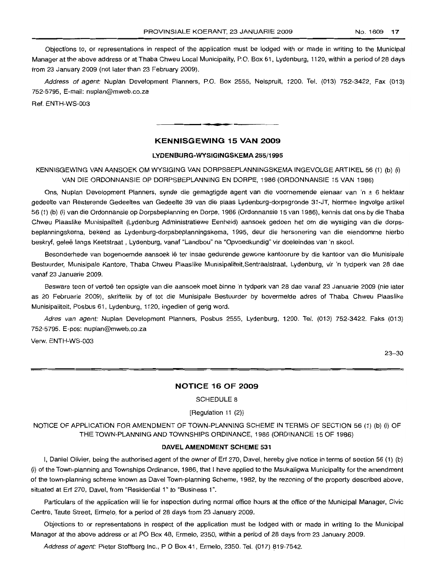Objections to, or representations in respect of the application must be lodged with or made in writing to the Municipal Manager at the above address or at Thaba Chweu Local Municipality, P.O. Box 61, Lydenburg, 1120, within a period of 28 days from 23 January 2009 (not later than 23 February 2009).

Address of agent: Nuplan Development Planners, P.O. Box 2555, Nelspruit, 1200. Tel. (013) 752-3422, Fax (013) 752-5795, E-mail: nuplan@mweb.co.za

Ref. ENTH-WS-D03

## **KENNISGEWING 15 VAN 2009**

**•**

#### **LYDENBURG-WYSIGINGSKEMA 255/1995**

KENNISGEWING VAN AANSOEK OM WYSIGING VAN DORPSBEPLANNINGSKEMA INGEVOLGE ARTIKEL 56 (1) (b) (i) VAN DIE ORDONNANSIE OP DORPSBEPLANNING EN DORPE, 1986 (ORDONNANSIE 15 VAN 1986)

Ons, Nuplan Development Planners, synde die gemagtigde agent van die voornemende eienaar van 'n ± 6 hektaar gedeelte van Hesterende Gedeeltes van Gedeelte 39 van die plaas Lydenburg-dorpsgronde 31-JT, hiermee ingvolge artikel 56 (1) (b) (i) van die Ordonnansie op Dorpsbeplanning en Dorpe, 1986 (Ordonnansie 15 van 1986), kennis dat ons by die Thaba Chweu Plaaslike Munisipaliteit (Lydenburg Administratiewe Eenheid) aansoek gedoen het om die wysiging van die dorpsbeplanningskema, bekend as Lydenburg-dorpsbeplanningskema, 1995, deur die hersonering van die eiendomme hierbo beskryf, gelee langs Keetstraat , Lydenburg, vanaf "Landbou" na "Opvoedkundig" vir doeleindes van 'n skool.

Besonderhede van bogenoemde aansoek lê ter insae gedurende gewone kantoorure by die kantoor van die Munisipale Bestuurder, Munisipale Kantore, Thaba Chweu Plaaslike Munisipaliteit,Sentraalstraat, Lydenburg, vir 'n tydperk van 28 dae vanaf 23 Januarie 2009.

Besware teen of vertoe ten opsigte van die aansoek moet binne 'n tydperk van 28 dae vanaf 23 Januarie 2009 (nie later as 20 Februarie 2009), skriftelik by of tot die Munisipale Bestuurder by bovermelde adres of Thaba Chweu Plaaslike Munisipaliteit, Posbus 61, Lydenburg, 1120, ingedien of gerig word.

Adres van agent: Nuplan Development Planners, Posbus 2555, Lydenburg, 1200. Tel. (013) 752-3422. Faks (013) 752-5795. E-pos: nuplan@mweb.co.za

Verw. ENTH-WS-003

23-30

#### **NOTICE 16 OF 2009**

SCHEDULE 8

#### [Regulation 11 (2)]

NOTICE OF APPLICATION FOR AMENDMENT OF TOWN-PLANNING SCHEME IN TERMS OF SECTION 56 (1) (b) (i) OF THE TOWN-PLANNING AND TOWNSHIPS ORDINANCE, 1986 (ORDINANCE 15 OF 1986)

#### **DAVEL AMENDMENT SCHEME 531**

I. Daniel Olivier, being the authorised agent of the owner of Erf 270, Davel, hereby give notice in terms of section 56 (1) (b) (i) of the Town-planning and Townships Ordinance, 1986, that I have applied to the Msukaligwa Municipality for the amendment of the town-planning scheme known as Davel Town-planning Scheme, 1982, by the rezoning of the property described above, situated at Erf 270, Davel, from "Residential 1" to "Business 1".

Particulars of the application will lie for inspection during normal office hours at the office of the Municipal Manager, Civic Centre, Taute Street, Ermelo, for a period of 28 days from 23 January 2009.

Objections to or representations in respect of the application must be lodged with or made in writing to the Municipal Manager at the above address or at PO Box 48, Ermelo, 2350, within a period of 28 days from 23 January 2009.

Address of agent: Pieter Stoffberg Inc., P O Box 41, Ermelo, 2350. Tel. (017) 819-7542.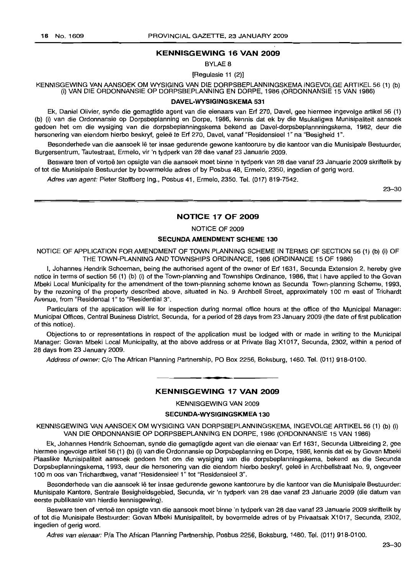#### **KENNISGEWING 16 VAN 2009**

BYLAE 8

[Regulasie 11 (2)]

KENNISGEWING VAN MNSOEK OM WYSIGING VAN DIE DORPSBEPLANNINGSKEMA INGEVOLGE ARTIKEL 56 (1) (b) (i) VAN DIE ORDONNANSIE OP DORPSBEPLANNING EN DORPE, 1986 (ORDONNANSIE 15 VAN 1986)

#### **DAVEL-WYSIGINGSKEMA 531**

Ek, Daniel Olivier, synde die gemagtide agent van die eienaars van Erf 270, Davel, gee hiermee ingevolge artikel 56 (1) (b) (i) van die Ordonnansie op Dorpsbeplanning en Dorpe, 1986, kennis dat ek by die Msukaligwa Munisipaliteit aansoek gedoen het om die wysiging van die dorpsbeplanningskema bekend as Davel-dorpsbeplannningskema, 1982, deur die hersonering van eiendom hierbo beskryf, geleë te Erf 270, Davel, vanaf "Residensieel 1" na "Besigheid 1".

Besonderhede van die aansoek lê ter insae gedurende gewone kantoorure by die kantoor van die Munisipale Bestuurder, Burgersentrum, Tautestraat, Ermelo, vir 'n tydperk van 28 dae vanaf 23 Januarie 2009.

Besware teen of vertoë ten opsigte van die aansoek moet binne 'n tydperk van 28 dae vanaf 23 Januarie 2009 skriftelik by of tot die Munisipale Bestuurder by bovermelde adres of by Posbus 48, Ermelo, 2350, ingedien of gerig word.

Adres van agent: Pieter Stoffberg Ing., Posbus 41, Ermelo, 2350. Tel. (017) 819-7542.

23-30

#### **NOTICE 17 OF 2009**

NOTICE OF 2009

#### SECUNDA AMENDMENT **SCHEME 130**

NOTICE OF APPLICATION FOR AMENDMENT OF TOWN PLANNING SCHEME IN TERMS OF SECTION 56 (1) (b) (i) OF THE TOWN-PLANNING AND TOWNSHIPS ORDINANCE, 1986 (ORDINANCE 15 OF 1986)

I, Johannes Hendrik Schoeman, being the authorised agent of the owner of Erf 1631, Secunda Extension 2, hereby give notice in terms of section 56 (1) (b) (i) of the Town-planning and Townships Ordinance, 1986, that I have applied to the Govan Mbeki Local Municipality for the amendment of the town-planning scheme known as Secunda Town-planning Scheme, 1993, by the rezoning of the property described above, situated in No. 9 Archbell Street, approximately 100 m east of Trichardt Avenue, from "Residential 1" to "Residential 3".

Particulars of the application will lie for inspection during normal office hours at the office of the Municipal Manager: Municipal Offices, Central Business District, Secunda, for a period of 28 days from 23 January 2009 (the date of first publication of this notice).

Objections to or representations in respect of the application must be lodged with or made in writing to the Municipal Manager: Govan Mbeki Local Municipality, at the above address or at Private Bag X1017, Secunda, 2302, within a period of 28 days from 23 January 2009.

Address of owner: C/o The African Planning Partnership, PO Box 2256, Boksburg, 1460. Tel. (011) 918-0100.

# **• KENNISGEWING 17 VAN 2009**

KENNISGEWING VAN 2009

#### **SECUNDA-WYSIGINGSKMEA 130**

KENNISGEWING VAN AANSOEK OM WYSIGING VAN DORPSBEPLANNINGSKEMA, INGEVOLGE ARTIKEL 56 (1) (b) (i) VAN DIE ORDONNANSIE OP DORPSBEPLANNING EN DORPE, 1986 (ORDONNANSIE 15 VAN 1986)

Ek, Johannes Hendrik Schoeman, synde die gemagtigde agent van die eienaar van Erf 1631, Secunda Uitbreiding 2, gee hiermee ingevolge artikel 56 (1) (b) (i) van die Ordonnansie op Dorpsbeplanning en Dorpe, 1986, kennis dat ek by Govan Mbeki Plaaslike Munisipaliteit aansoek gedoen het om die wysiging van die dorpsbeplanningskema, bekend as die Secunda Dorpsbeplanningskema, 1993, deur die hersonering van die eiendom hierbo beskryf, qelee in Archbellstraat No.9, ongeveer 100 moos van Trichardtweg, vanaf "Residensieel 1" tot "Residensieel 3".

Besonderhede van die aansoek lê ter insae gedurende gewone kantoorure by die kantoor van die Munisipale Bestuurder: Munisipale Kantore, Sentrale Besigheidsgebied, Secunda, vir 'n tydperk van 28 dae vanaf 23 Januarie 2009 (die datum van eerste publikasie van hierdie kennisgewing).

Besware teen of vertoë ten opsigte van die aansoek moet binne 'n tydperk van 28 dae vanaf 23 Januarie 2009 skriftelik by of tot die Munisipale Bestuurder: Govan Mbeki Munisipaliteit, by bovermelde adres of by Privaatsak X1017, Secunda, 2302, ingedien of gerig word.

Adres van eienaar: Pia The African Planning Partnership, Posbus 2256, Boksburg, 1460. Tel. (011) 918-0100.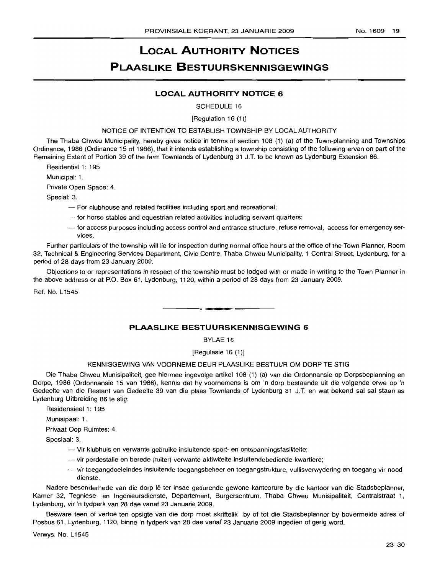# **LOCAL AUTHORITY NOTICES**

# **PI AASLIKE BESTUURSKENNISGEWINGS**

## **LOCAL AUTHORITY NOTICE 6**

SCHEDULE 16

#### [Regulation 16 (1)]

#### NOTICE OF INTENTION TO ESTABLISH TOWNSHIP BY LOCAL AUTHORITY

The Thaba Chweu Municipality, hereby gives notice in terms of section 108 (1) (a) of the Town-planning and Townships Ordinance, 1986 (Ordinance 15 of 1986), that it intends establishing a township consisting of the following erven on part of the Remaining Extent of Portion 39 of the farm Townlands of Lydenburg 31 J.T. to be known as Lydenburg Extension 86.

Residential 1: 195

Municipal: 1.

Private Open Space: 4.

Special: 3.

- For clubhouse and related facilities including sport and recreational;
- $-$  for horse stables and equestrian related activities including servant quarters;
- --- for access purposes including access control and entrance structure, refuse removal, access for emergency services.

Further particulars of the township will lie for inspection during normal office hours at the office of the Town Planner, Room 32, Technical & Engineering Services Department, Civic Centre, Thaba Chweu Municipality, 1 Central Street, Lydenburg, for a period of 28 days from 23 January 2009.

Objections to or representations in respect of the township must be lodged with or made in writing to the Town Planner in the above address or at P.O. Box 61, Lydenburg, 1120, within a period of 28 days from 23 January 2009.

Ref. No. L1545

#### **PLAASLIKE BESTUURSKENNISGEWING 6**

.**- .**

BYLAE 16

[Regulasie 16 (1)]

#### KENNISGEWING VAN VOORNEME DEUR PLAASLIKE BESTUUR OM DORP TE STIG

Die Thaba Chweu Munisipaliteit, gee hiermee ingevolge artikel 108 (1) (a) van die Ordonnansie op Dorpsbeplanning en Dorpe, 1986 (Ordonnansie 15 van 1986), kennis dat hy voornemens is om 'n dorp bestaande uit die volgende erwe op 'n Gedeelte van die Restant van Gedeelte 39 van die plaas Townlands of Lydenburg 31 J.T. en wat bekend sal sal staan as Lydenburg Uitbreiding 86 te stig:

Residensieel 1: 195

Munisipaal: 1.

Privaat Oop Ruimtes: 4.

Spesiaal: 3.

- Vir kllubhuis en verwante gebruike insluitende sport- en ontspanningsfasiliteite;
- --- vir perdestalle en berede (ruiter) verwante aktiwiteite insluitendebediende kwartiere;
- vir toegangdoeleindes insluitende toegangsbeheer en toegangstrukture, vullisverwydering en toegang vir nooddienste.

Nadere besonderhede van die dorp lê ter insae gedurende gewone kantoorure by die kantoor van die Stadsbeplanner, Kamer 32, Tegniese- en Ingenieursdienste, Departement, Burgersentrum, Thaba Chweu Munisipaliteit, Centralstraat 1, Lydenburg, vir 'n tydperk van 28 dae vanaf 23 Januarie 2009.

Besware teen of vertoë ten opsigte van die dorp moet skriftelik by of tot die Stadsbeplanner by bovermelde adres of Posbus 61, Lydenburg, 1120, binne 'n tydperk van 28 dae vanaf 23 Januarie 2009 ingedien of gerig word.

Verwys. No. L1545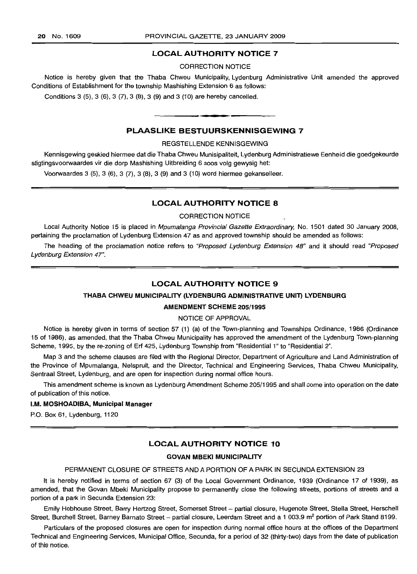#### **LOCAL AUTHORITY NOTICE 7**

CORRECTION NOTICE

Notice is hereby given that the Thaba Chweu Municipality, Lydenburg Administrative Unit amended the approved Conditions of Establishment for the township Mashishing Extension 6 as follows:

Conditions 3 (5), 3 (6), 3 (7), 3 (8), 3 (9) and 3 (10) are hereby cancelled. .**-.**

#### **PLAASLIKE BESTUURSKENNISGEWING 7**

#### REGSTELLENDE KENNISGEWING

Kennisgewing geskied hiermee dat die Thaba Chweu Munisipaliteit, Lydenburg Administratiewe Eenheid die goedgekeurde stigtingsvoorwaardes vir die dorp Mashishing Uitbreiding 6 soos volg gewysig het:

Voorwaardes 3 (5),3 (6), 3 (7),3 (8), 3 (9) and 3 (10) word hiermee gekanselleer.

#### **LOCAL AUTHORITY NOTICE 8**

CORRECTION NOTICE

Local Authority Notice 15 is placed in Mpumalanga Provincial Gazette Extraordinary, No. 1501 dated 30 January 2008, pertaining the proclamation of Lydenburg Extension 47 as and approved township should be amended as follows:

The heading of the proclamation notice refers to "Proposed Lydenburg Extension 48" and it should read "Proposed Lydenburg Extension 47".

#### **LOCAL AUTHORITY NOTICE 9**

#### **THABA CHWEU MUNICIPALITY** (LYDENBURG **ADMINISTRATIVE UNIT) LYDENBURG**

#### **AMENDMENT SCHEME** 205/1995

#### NOTICE OF APPROVAL

Notice is hereby given in terms of section 57 (1) (a) of the Town-planning and Townships Ordinance, 1986 (Ordinance 15 of 1986), as amended, that the Thaba Chweu Municipality has approved the amendment of the Lydenburg Town-planning Scheme, 1995, by the re-zoning of Erf 425, Lydenburg Township from "Residential 1" to "Residential 2".

Map 3 and the scheme clauses are filed with the Regional Director, Department of Agriculture and Land Administration of the Province of Mpumalanga, Nelspruit, and the Director, Technical and Engineering Services, Thaba Chweu Municipality, Sentraal Street, Lydenburg, and are open for inspection during normal office hours.

This amendment scheme is known as Lydenburg Amendment Scheme 205/1995 and shall come into operation on the date of publication of this notice.

#### I.M. **MOSHOADIBA, Municipal Manager**

P.O. Box 61, Lydenburg, 1120

#### **LOCAL AUTHORITY NOTICE 10**

#### **GOVAN MBEKI MUNICIPALITY**

#### PERMANENT CLOSURE OF STREETS AND A PORTION OF A PARK IN SECUNDA EXTENSION 23

It is hereby notified in terms of section 67 (3) of the Local Government Ordinance, 1939 (Ordinance 17 of 1939), as amended, that the Govan Mbeki Municipality propose to permanently close the following streets, portions of streets and a portion of a park in Secunda Extension 23:

Emily Hobhouse Street, Barry Hertzog Street, Somerset Street - partial closure, Hugenote Street, Stella Street, Herschell Street, Burchell Street, Barney Barnato Street - partial closure, Leerdam Street and a 1 003.9 m<sup>2</sup> portion of Park Stand 8199.

Particulars of the proposed closures are open for inspection during normal office hours at the offices of the Department Technical and Engineering Services, Municipal Office, Secunda, for a period of 32 (thirty-two) days from the date of publication of this notice.